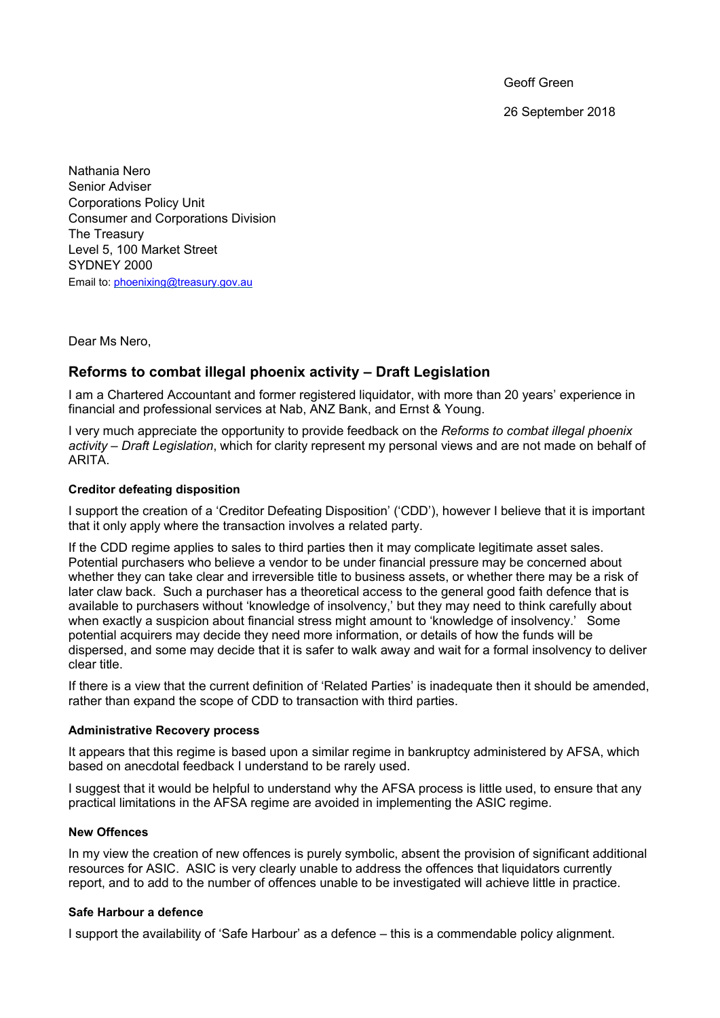Geoff Green

26 September 2018

Nathania Nero Senior Adviser Corporations Policy Unit Consumer and Corporations Division The Treasury Level 5, 100 Market Street SYDNEY 2000 Email to: [phoenixing@treasury.gov.au](mailto:phoenixing@treasury.gov.au)

Dear Ms Nero,

# **Reforms to combat illegal phoenix activity – Draft Legislation**

I am a Chartered Accountant and former registered liquidator, with more than 20 years' experience in financial and professional services at Nab, ANZ Bank, and Ernst & Young.

I very much appreciate the opportunity to provide feedback on the *Reforms to combat illegal phoenix activity – Draft Legislation*, which for clarity represent my personal views and are not made on behalf of ARITA.

## **Creditor defeating disposition**

I support the creation of a 'Creditor Defeating Disposition' ('CDD'), however I believe that it is important that it only apply where the transaction involves a related party.

If the CDD regime applies to sales to third parties then it may complicate legitimate asset sales. Potential purchasers who believe a vendor to be under financial pressure may be concerned about whether they can take clear and irreversible title to business assets, or whether there may be a risk of later claw back. Such a purchaser has a theoretical access to the general good faith defence that is available to purchasers without 'knowledge of insolvency,' but they may need to think carefully about when exactly a suspicion about financial stress might amount to 'knowledge of insolvency.' Some potential acquirers may decide they need more information, or details of how the funds will be dispersed, and some may decide that it is safer to walk away and wait for a formal insolvency to deliver clear title.

If there is a view that the current definition of 'Related Parties' is inadequate then it should be amended, rather than expand the scope of CDD to transaction with third parties.

#### **Administrative Recovery process**

It appears that this regime is based upon a similar regime in bankruptcy administered by AFSA, which based on anecdotal feedback I understand to be rarely used.

I suggest that it would be helpful to understand why the AFSA process is little used, to ensure that any practical limitations in the AFSA regime are avoided in implementing the ASIC regime.

#### **New Offences**

In my view the creation of new offences is purely symbolic, absent the provision of significant additional resources for ASIC. ASIC is very clearly unable to address the offences that liquidators currently report, and to add to the number of offences unable to be investigated will achieve little in practice.

# **Safe Harbour a defence**

I support the availability of 'Safe Harbour' as a defence – this is a commendable policy alignment.